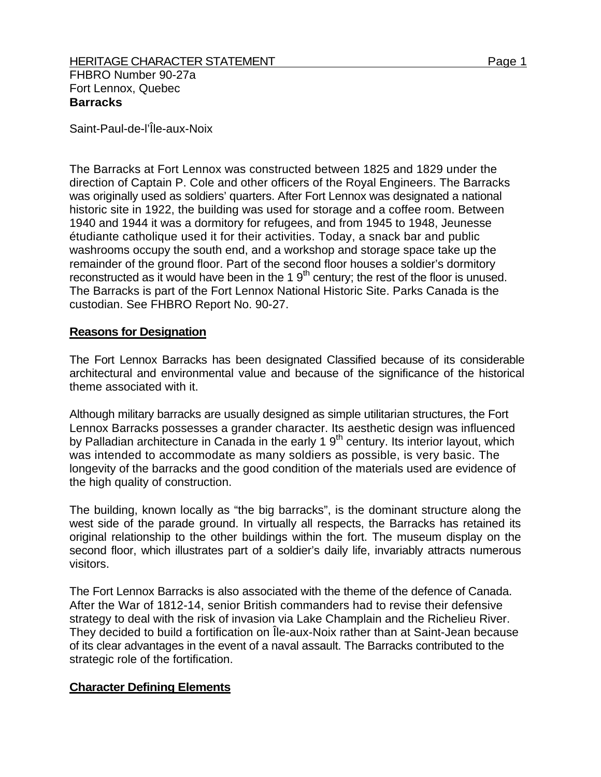Saint-Paul-de-l'Île-aux-Noix

The Barracks at Fort Lennox was constructed between 1825 and 1829 under the direction of Captain P. Cole and other officers of the Royal Engineers. The Barracks was originally used as soldiers' quarters. After Fort Lennox was designated a national historic site in 1922, the building was used for storage and a coffee room. Between 1940 and 1944 it was a dormitory for refugees, and from 1945 to 1948, Jeunesse étudiante catholique used it for their activities. Today, a snack bar and public washrooms occupy the south end, and a workshop and storage space take up the remainder of the ground floor. Part of the second floor houses a soldier's dormitory reconstructed as it would have been in the 1  $9<sup>th</sup>$  century; the rest of the floor is unused. The Barracks is part of the Fort Lennox National Historic Site. Parks Canada is the custodian. See FHBRO Report No. 90-27.

## **Reasons for Designation**

The Fort Lennox Barracks has been designated Classified because of its considerable architectural and environmental value and because of the significance of the historical theme associated with it.

Although military barracks are usually designed as simple utilitarian structures, the Fort Lennox Barracks possesses a grander character. Its aesthetic design was influenced by Palladian architecture in Canada in the early 1 9<sup>th</sup> century. Its interior layout, which was intended to accommodate as many soldiers as possible, is very basic. The longevity of the barracks and the good condition of the materials used are evidence of the high quality of construction.

The building, known locally as "the big barracks", is the dominant structure along the west side of the parade ground. In virtually all respects, the Barracks has retained its original relationship to the other buildings within the fort. The museum display on the second floor, which illustrates part of a soldier's daily life, invariably attracts numerous visitors.

The Fort Lennox Barracks is also associated with the theme of the defence of Canada. After the War of 1812-14, senior British commanders had to revise their defensive strategy to deal with the risk of invasion via Lake Champlain and the Richelieu River. They decided to build a fortification on Île-aux-Noix rather than at Saint-Jean because of its clear advantages in the event of a naval assault. The Barracks contributed to the strategic role of the fortification.

## **Character Defining Elements**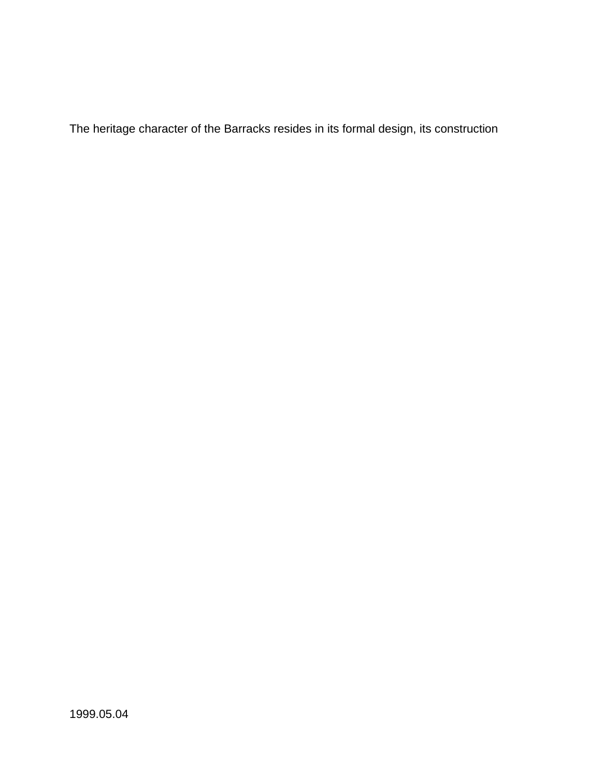The heritage character of the Barracks resides in its formal design, its construction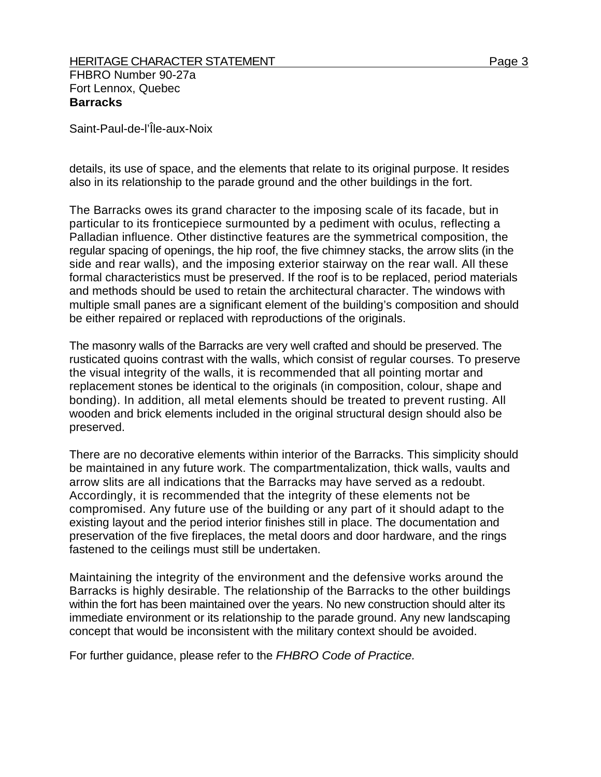Saint-Paul-de-l'Île-aux-Noix

details, its use of space, and the elements that relate to its original purpose. It resides also in its relationship to the parade ground and the other buildings in the fort.

The Barracks owes its grand character to the imposing scale of its facade, but in particular to its fronticepiece surmounted by a pediment with oculus, reflecting a Palladian influence. Other distinctive features are the symmetrical composition, the regular spacing of openings, the hip roof, the five chimney stacks, the arrow slits (in the side and rear walls), and the imposing exterior stairway on the rear wall. All these formal characteristics must be preserved. If the roof is to be replaced, period materials and methods should be used to retain the architectural character. The windows with multiple small panes are a significant element of the building's composition and should be either repaired or replaced with reproductions of the originals.

The masonry walls of the Barracks are very well crafted and should be preserved. The rusticated quoins contrast with the walls, which consist of regular courses. To preserve the visual integrity of the walls, it is recommended that all pointing mortar and replacement stones be identical to the originals (in composition, colour, shape and bonding). In addition, all metal elements should be treated to prevent rusting. All wooden and brick elements included in the original structural design should also be preserved.

There are no decorative elements within interior of the Barracks. This simplicity should be maintained in any future work. The compartmentalization, thick walls, vaults and arrow slits are all indications that the Barracks may have served as a redoubt. Accordingly, it is recommended that the integrity of these elements not be compromised. Any future use of the building or any part of it should adapt to the existing layout and the period interior finishes still in place. The documentation and preservation of the five fireplaces, the metal doors and door hardware, and the rings fastened to the ceilings must still be undertaken.

Maintaining the integrity of the environment and the defensive works around the Barracks is highly desirable. The relationship of the Barracks to the other buildings within the fort has been maintained over the years. No new construction should alter its immediate environment or its relationship to the parade ground. Any new landscaping concept that would be inconsistent with the military context should be avoided.

For further guidance, please refer to the *FHBRO Code of Practice.*